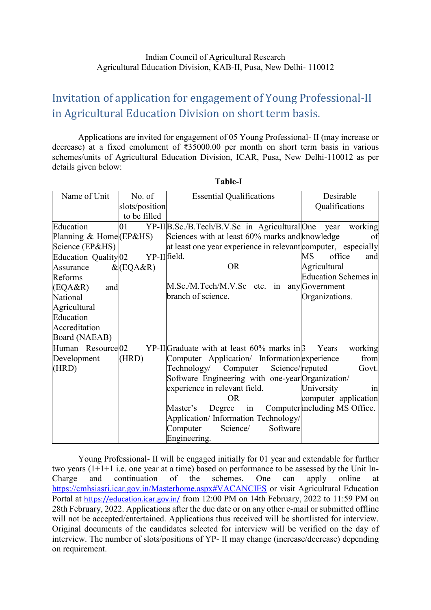## Invitation of application for engagement of Young Professional-II in Agricultural Education Division on short term basis.

Applications are invited for engagement of 05 Young Professional- II (may increase or decrease) at a fixed emolument of ₹35000.00 per month on short term basis in various schemes/units of Agricultural Education Division, ICAR, Pusa, New Delhi-110012 as per details given below:

| Name of Unit                    | No. of         | <b>Essential Qualifications</b>                               | Desirable                     |
|---------------------------------|----------------|---------------------------------------------------------------|-------------------------------|
|                                 | slots/position |                                                               | Qualifications                |
|                                 | to be filled   |                                                               |                               |
| Education                       | 01             | YP-II B.Sc./B.Tech/B.V.Sc in Agricultural One year            | working                       |
| Planning $&$ Home (EP&HS)       |                | Sciences with at least 60% marks and knowledge                | of                            |
| Science (EP&HS)                 |                | at least one year experience in relevant computer, especially |                               |
| Education Quality <sup>02</sup> | YP-II field.   |                                                               | <b>MS</b><br>office<br>and    |
| Assurance                       | $&$ (EQA&R)    | <b>OR</b>                                                     | Agricultural                  |
| Reforms                         |                |                                                               | Education Schemes in          |
| (EQA&R)<br>and                  |                | M.Sc./M.Tech/M.V.Sc etc. in                                   | any Government                |
| National                        |                | branch of science.                                            | Organizations.                |
| Agricultural                    |                |                                                               |                               |
| Education                       |                |                                                               |                               |
| Accreditation                   |                |                                                               |                               |
| Board (NAEAB)                   |                |                                                               |                               |
| Human Resource 02               |                | $YP-II $ Graduate with at least 60% marks in 3                | working<br>Years              |
| Development                     | (HRD)          | Computer Application/ Information experience                  | from                          |
| (HRD)                           |                | Science/reputed<br>Technology/ Computer                       | Govt.                         |
|                                 |                | Software Engineering with one-year Organization/              |                               |
|                                 |                | experience in relevant field.                                 | University<br>1n              |
|                                 |                | <b>OR</b>                                                     | computer application          |
|                                 |                | Master's<br>Degree<br>in                                      | Computer including MS Office. |
|                                 |                | Application/Information Technology/                           |                               |
|                                 |                | Software<br>Science/<br>Computer                              |                               |
|                                 |                | Engineering.                                                  |                               |

**Table-I**

Young Professional- II will be engaged initially for 01 year and extendable for further two years (1+1+1 i.e. one year at a time) based on performance to be assessed by the Unit In-Charge and continuation of the schemes. One can apply online at <https://cmhsiasri.icar.gov.in/Masterhome.aspx#VACANCIES> or visit Agricultural Education Portal at <https://education.icar.gov.in/> from 12:00 PM on 14th February, 2022 to 11:59 PM on 28th February, 2022. Applications after the due date or on any other e-mail or submitted offline will not be accepted/entertained. Applications thus received will be shortlisted for interview. Original documents of the candidates selected for interview will be verified on the day of interview. The number of slots/positions of YP- II may change (increase/decrease) depending on requirement.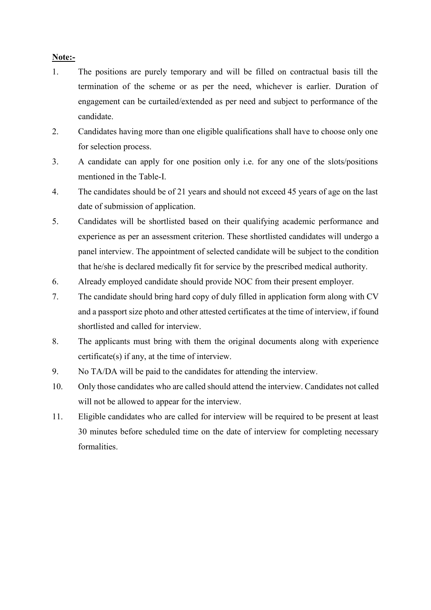## **Note:-**

- 1. The positions are purely temporary and will be filled on contractual basis till the termination of the scheme or as per the need, whichever is earlier. Duration of engagement can be curtailed/extended as per need and subject to performance of the candidate.
- 2. Candidates having more than one eligible qualifications shall have to choose only one for selection process.
- 3. A candidate can apply for one position only i.e. for any one of the slots/positions mentioned in the Table-I.
- 4. The candidates should be of 21 years and should not exceed 45 years of age on the last date of submission of application.
- 5. Candidates will be shortlisted based on their qualifying academic performance and experience as per an assessment criterion. These shortlisted candidates will undergo a panel interview. The appointment of selected candidate will be subject to the condition that he/she is declared medically fit for service by the prescribed medical authority.
- 6. Already employed candidate should provide NOC from their present employer.
- 7. The candidate should bring hard copy of duly filled in application form along with CV and a passport size photo and other attested certificates at the time of interview, if found shortlisted and called for interview.
- 8. The applicants must bring with them the original documents along with experience certificate(s) if any, at the time of interview.
- 9. No TA/DA will be paid to the candidates for attending the interview.
- 10. Only those candidates who are called should attend the interview. Candidates not called will not be allowed to appear for the interview.
- 11. Eligible candidates who are called for interview will be required to be present at least 30 minutes before scheduled time on the date of interview for completing necessary formalities.